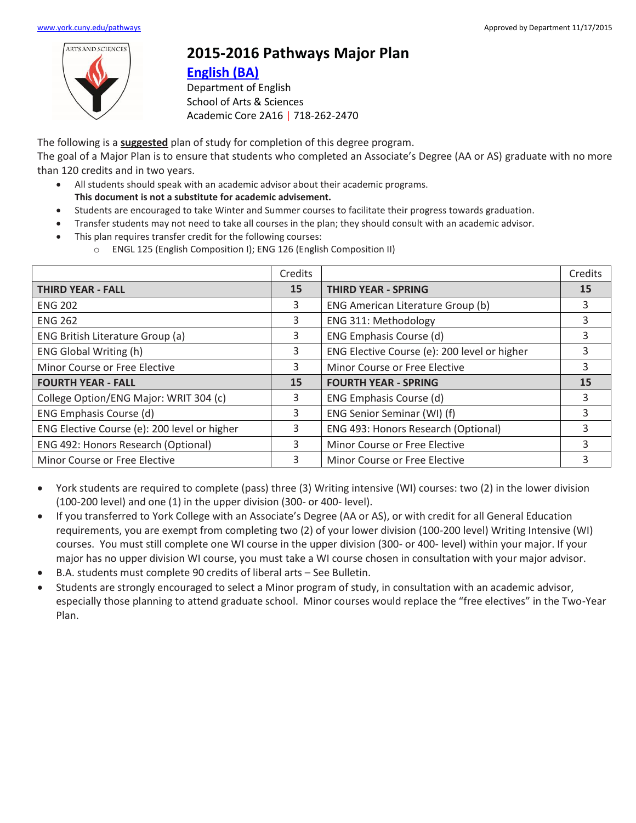

## **2015-2016 Pathways Major Plan**

## **[English](https://www.york.cuny.edu/produce-and-print/contents/bulletin/school-of-arts-and-sciences/english/english-ba) (BA)**

Department of English School of Arts & Sciences Academic Core 2A16 | 718-262-2470

The following is a **suggested** plan of study for completion of this degree program. The goal of a Major Plan is to ensure that students who completed an Associate's Degree (AA or AS) graduate with no more than 120 credits and in two years.

- All students should speak with an academic advisor about their academic programs. **This document is not a substitute for academic advisement.**
- Students are encouraged to take Winter and Summer courses to facilitate their progress towards graduation.
- Transfer students may not need to take all courses in the plan; they should consult with an academic advisor.
- This plan requires transfer credit for the following courses:
	- o ENGL 125 (English Composition I); ENG 126 (English Composition II)

|                                              | Credits |                                              | Credits |
|----------------------------------------------|---------|----------------------------------------------|---------|
| <b>THIRD YEAR - FALL</b>                     | 15      | <b>THIRD YEAR - SPRING</b>                   | 15      |
| <b>ENG 202</b>                               | 3       | ENG American Literature Group (b)            | 3       |
| <b>ENG 262</b>                               | 3       | ENG 311: Methodology                         | 3       |
| ENG British Literature Group (a)             | 3       | ENG Emphasis Course (d)                      | 3       |
| <b>ENG Global Writing (h)</b>                | 3       | ENG Elective Course (e): 200 level or higher | 3       |
| Minor Course or Free Elective                | 3       | Minor Course or Free Elective                | 3       |
| <b>FOURTH YEAR - FALL</b>                    | 15      | <b>FOURTH YEAR - SPRING</b>                  | 15      |
| College Option/ENG Major: WRIT 304 (c)       | 3       | ENG Emphasis Course (d)                      | 3       |
| ENG Emphasis Course (d)                      | 3       | ENG Senior Seminar (WI) (f)                  | ς       |
| ENG Elective Course (e): 200 level or higher | 3       | ENG 493: Honors Research (Optional)          | 3       |
| ENG 492: Honors Research (Optional)          | 3       | Minor Course or Free Elective                | 3       |
| Minor Course or Free Elective                | 3       | Minor Course or Free Elective                | 3       |

- York students are required to complete (pass) three (3) Writing intensive (WI) courses: two (2) in the lower division (100-200 level) and one (1) in the upper division (300- or 400- level).
- If you transferred to York College with an Associate's Degree (AA or AS), or with credit for all General Education requirements, you are exempt from completing two (2) of your lower division (100-200 level) Writing Intensive (WI) courses. You must still complete one WI course in the upper division (300- or 400- level) within your major. If your major has no upper division WI course, you must take a WI course chosen in consultation with your major advisor.
- B.A. students must complete 90 credits of liberal arts See Bulletin.
- Students are strongly encouraged to select a Minor program of study, in consultation with an academic advisor, especially those planning to attend graduate school. Minor courses would replace the "free electives" in the Two-Year Plan.